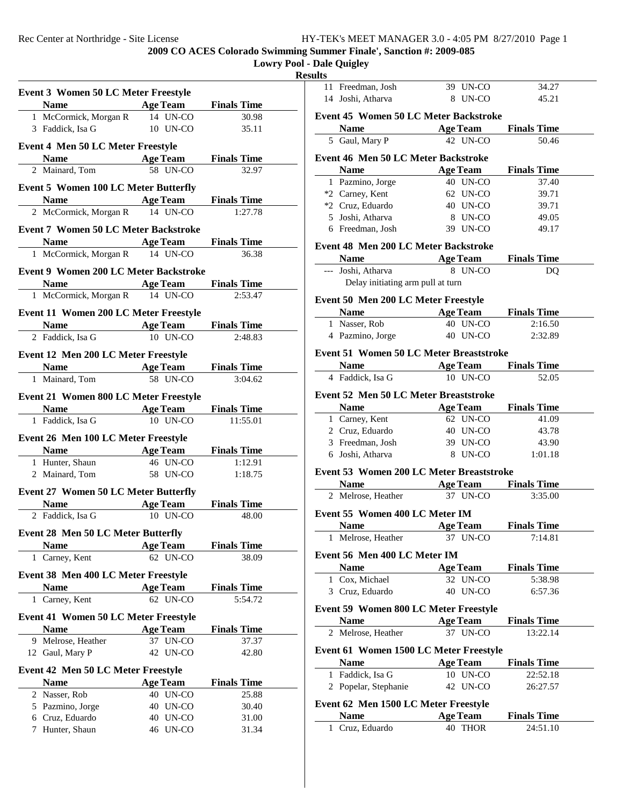**2009 CO ACES Colorado Swimming Summer Finale', Sanction #: 2009-085**

## **Lowry Pool - Dale Quigley Results**

| <b>Event 3 Women 50 LC Meter Freestyle</b>                                                                                                                                                                                    |                             |                             |  |
|-------------------------------------------------------------------------------------------------------------------------------------------------------------------------------------------------------------------------------|-----------------------------|-----------------------------|--|
| Name and the same state of the state of the state of the state of the state of the state of the state of the state of the state of the state of the state of the state of the state of the state of the state of the state of | <b>Age Team</b> Finals Time |                             |  |
| 1 McCormick, Morgan R 14 UN-CO                                                                                                                                                                                                |                             | 30.98                       |  |
| 3 Faddick, Isa G                                                                                                                                                                                                              | 10 UN-CO                    | 35.11                       |  |
| <b>Event 4 Men 50 LC Meter Freestyle</b>                                                                                                                                                                                      |                             |                             |  |
| <b>Name</b>                                                                                                                                                                                                                   | <b>Age Team</b>             | <b>Finals Time</b>          |  |
| 2 Mainard, Tom                                                                                                                                                                                                                | 58 UN-CO                    | 32.97                       |  |
| <b>Event 5 Women 100 LC Meter Butterfly</b>                                                                                                                                                                                   |                             |                             |  |
| <b>Example 2 Age Team</b><br><b>Name</b>                                                                                                                                                                                      |                             | <b>Finals Time</b>          |  |
| 2 McCormick, Morgan R                                                                                                                                                                                                         | 14 UN-CO                    | 1:27.78                     |  |
| <b>Event 7 Women 50 LC Meter Backstroke</b>                                                                                                                                                                                   |                             |                             |  |
|                                                                                                                                                                                                                               | <b>Age Team</b>             | <b>Finals Time</b>          |  |
| 1 McCormick, Morgan R                                                                                                                                                                                                         | 14 UN-CO                    | 36.38                       |  |
| <b>Event 9 Women 200 LC Meter Backstroke</b>                                                                                                                                                                                  |                             |                             |  |
| Name $\qquad \qquad$                                                                                                                                                                                                          | <b>Age Team</b>             | <b>Finals Time</b>          |  |
| 1 McCormick, Morgan R                                                                                                                                                                                                         | 14 UN-CO                    | 2:53.47                     |  |
| Event 11 Women 200 LC Meter Freestyle                                                                                                                                                                                         |                             |                             |  |
| Name Age Team                                                                                                                                                                                                                 |                             | <b>Finals Time</b>          |  |
| 2 Faddick, Isa G                                                                                                                                                                                                              | $10$ UN-CO                  | 2:48.83                     |  |
| Event 12 Men 200 LC Meter Freestyle                                                                                                                                                                                           |                             |                             |  |
| <b>Name</b>                                                                                                                                                                                                                   | <b>Age Team</b> Finals Time |                             |  |
| 1 Mainard, Tom                                                                                                                                                                                                                | 58 UN-CO                    | 3:04.62                     |  |
| <b>Event 21 Women 800 LC Meter Freestyle</b>                                                                                                                                                                                  |                             |                             |  |
| <b>Name</b>                                                                                                                                                                                                                   | <b>Age Team</b>             | <b>Finals Time</b>          |  |
| 1 Faddick, Isa G                                                                                                                                                                                                              | 10 UN-CO                    | 11:55.01                    |  |
| Event 26 Men 100 LC Meter Freestyle                                                                                                                                                                                           |                             |                             |  |
| <b>Name</b>                                                                                                                                                                                                                   | <b>Age Team</b>             | <b>Finals Time</b>          |  |
| 1 Hunter, Shaun                                                                                                                                                                                                               | 46 UN-CO                    | 1:12.91                     |  |
| 2 Mainard, Tom                                                                                                                                                                                                                | 58 UN-CO                    | 1:18.75                     |  |
| <b>Event 27 Women 50 LC Meter Butterfly</b>                                                                                                                                                                                   |                             |                             |  |
| <b>Name</b>                                                                                                                                                                                                                   | <b>Age Team</b>             | <b>Finals Time</b>          |  |
| 2 Faddick, Isa G                                                                                                                                                                                                              | 10 UN-CO                    | 48.00                       |  |
| <b>Event 28 Men 50 LC Meter Butterfly</b>                                                                                                                                                                                     |                             |                             |  |
| <b>Name</b>                                                                                                                                                                                                                   | <b>Age Team</b>             | <b>Finals Time</b>          |  |
| 1 Carney, Kent                                                                                                                                                                                                                | 62 UN-CO                    | 38.09                       |  |
| Event 38 Men 400 LC Meter Freestyle                                                                                                                                                                                           |                             |                             |  |
| <b>Name</b>                                                                                                                                                                                                                   | <b>Age Team</b>             | <b>Finals Time</b>          |  |
| 1 Carney, Kent                                                                                                                                                                                                                | 62 UN-CO                    | 5:54.72                     |  |
|                                                                                                                                                                                                                               |                             |                             |  |
| <b>Event 41 Women 50 LC Meter Freestyle</b><br><b>Name</b>                                                                                                                                                                    | <b>Age Team</b>             | <b>Finals Time</b>          |  |
|                                                                                                                                                                                                                               | 37 UN-CO                    | 37.37                       |  |
| 9 Melrose, Heather<br>12 Gaul, Mary P                                                                                                                                                                                         | 42 UN-CO                    | 42.80                       |  |
|                                                                                                                                                                                                                               |                             |                             |  |
| Event 42 Men 50 LC Meter Freestyle<br><b>Name</b>                                                                                                                                                                             | <b>Age Team</b>             |                             |  |
| 2 Nasser, Rob                                                                                                                                                                                                                 | 40 UN-CO                    | <b>Finals Time</b><br>25.88 |  |
| 5 Pazmino, Jorge                                                                                                                                                                                                              | 40<br>UN-CO                 | 30.40                       |  |
| 6 Cruz, Eduardo                                                                                                                                                                                                               | 40 UN-CO                    | 31.00                       |  |
| Hunter, Shaun<br>7                                                                                                                                                                                                            | 46 UN-CO                    | 31.34                       |  |
|                                                                                                                                                                                                                               |                             |                             |  |
|                                                                                                                                                                                                                               |                             |                             |  |

| ults |                                                     |                      |                                        |
|------|-----------------------------------------------------|----------------------|----------------------------------------|
|      | 11 Freedman, Josh                                   | 39 UN-CO             | 34.27                                  |
|      | 14 Joshi, Atharva                                   | 8 UN-CO              | 45.21                                  |
|      | <b>Event 45 Women 50 LC Meter Backstroke</b>        |                      |                                        |
|      | <b>Name</b>                                         | <b>Age Team</b>      | <b>Finals Time</b>                     |
|      | 5 Gaul, Mary P                                      | 42 UN-CO             | 50.46                                  |
|      | Event 46 Men 50 LC Meter Backstroke                 |                      |                                        |
|      | <b>Name</b>                                         | <b>Age Team</b>      | <b>Finals Time</b>                     |
|      | 1 Pazmino, Jorge                                    | 40 UN-CO             | 37.40                                  |
|      | *2 Carney, Kent                                     | 62 UN-CO             | 39.71                                  |
|      | *2 Cruz, Eduardo                                    | 40 UN-CO             | 39.71                                  |
|      | 5 Joshi, Atharva                                    | 8 UN-CO              | 49.05                                  |
|      | 6 Freedman, Josh                                    | 39 UN-CO             | 49.17                                  |
|      | Event 48 Men 200 LC Meter Backstroke                |                      |                                        |
|      | <b>Name</b>                                         | <b>Age Team</b>      | <b>Finals Time</b>                     |
|      | --- Joshi, Atharva                                  | 8 UN-CO              | DQ                                     |
|      | Delay initiating arm pull at turn                   |                      |                                        |
|      |                                                     |                      |                                        |
|      | Event 50 Men 200 LC Meter Freestyle                 |                      |                                        |
|      | <b>Name</b><br>1 Nasser, Rob                        | 40 UN-CO             | <b>Age Team</b> Finals Time<br>2:16.50 |
|      | 4 Pazmino, Jorge                                    | 40 UN-CO             | 2:32.89                                |
|      |                                                     |                      |                                        |
|      | <b>Event 51 Women 50 LC Meter Breaststroke</b>      |                      |                                        |
|      | <b>Name</b>                                         | <b>Age Team</b>      | <b>Finals Time</b>                     |
|      | 4 Faddick, Isa G                                    | 10 UN-CO             | 52.05                                  |
|      | Event 52 Men 50 LC Meter Breaststroke               |                      |                                        |
|      | <b>Name</b>                                         | <b>Age Team</b>      | <b>Finals Time</b>                     |
|      | 1 Carney, Kent                                      | 62 UN-CO             | 41.09                                  |
|      | 2 Cruz, Eduardo                                     | 40 UN-CO             | 43.78                                  |
|      | 3 Freedman, Josh                                    | 39 UN-CO             | 43.90                                  |
|      | 6 Joshi, Atharva                                    | 8 UN-CO              | 1:01.18                                |
|      | Event 53 Women 200 LC Meter Breaststroke            |                      |                                        |
|      | <b>Name</b>                                         | <b>Age Team</b>      | <b>Finals Time</b>                     |
|      | 2 Melrose, Heather                                  | 37 UN-CO             | 3:35.00                                |
|      | Event 55 Women 400 LC Meter IM                      |                      |                                        |
|      | Name Age Team                                       |                      | <b>Finals Time</b>                     |
|      | 1 Melrose, Heather                                  | 37 UN-CO             | 7:14.81                                |
|      |                                                     |                      |                                        |
|      | Event 56 Men 400 LC Meter IM                        |                      |                                        |
|      | <b>Name</b>                                         | <b>Age Team</b>      | <b>Finals Time</b>                     |
|      | 1 Cox, Michael                                      | 32 UN-CO<br>40 UN-CO | 5:38.98                                |
|      | 3 Cruz, Eduardo                                     |                      | 6:57.36                                |
|      | <b>Event 59 Women 800 LC Meter Freestyle</b>        |                      |                                        |
|      | <b>Name</b>                                         | <b>Age Team</b>      | <b>Finals Time</b>                     |
| 2    | Melrose, Heather                                    | 37 UN-CO             | 13:22.14                               |
|      | Event 61 Women 1500 LC Meter Freestyle              |                      |                                        |
|      | <b>Name</b>                                         | <b>Age Team</b>      | <b>Finals Time</b>                     |
|      | 1 Faddick, Isa G                                    | 10 UN-CO             | 22:52.18                               |
|      | 2 Popelar, Stephanie                                | 42 UN-CO             | 26:27.57                               |
|      |                                                     |                      |                                        |
|      | Event 62 Men 1500 LC Meter Freestyle<br><b>Name</b> | <b>Age Team</b>      | <b>Finals Time</b>                     |
|      | 1 Cruz, Eduardo                                     | 40 THOR              | 24:51.10                               |
|      |                                                     |                      |                                        |